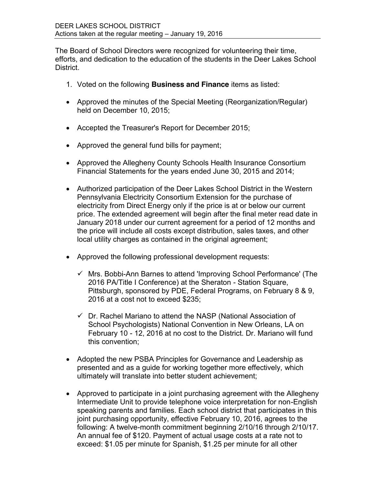The Board of School Directors were recognized for volunteering their time, efforts, and dedication to the education of the students in the Deer Lakes School District.

- 1. Voted on the following **Business and Finance** items as listed:
- Approved the minutes of the Special Meeting (Reorganization/Regular) held on December 10, 2015;
- Accepted the Treasurer's Report for December 2015;
- Approved the general fund bills for payment;
- Approved the Allegheny County Schools Health Insurance Consortium Financial Statements for the years ended June 30, 2015 and 2014;
- Authorized participation of the Deer Lakes School District in the Western Pennsylvania Electricity Consortium Extension for the purchase of electricity from Direct Energy only if the price is at or below our current price. The extended agreement will begin after the final meter read date in January 2018 under our current agreement for a period of 12 months and the price will include all costs except distribution, sales taxes, and other local utility charges as contained in the original agreement;
- Approved the following professional development requests:
	- $\checkmark$  Mrs. Bobbi-Ann Barnes to attend 'Improving School Performance' (The 2016 PA/Title I Conference) at the Sheraton - Station Square, Pittsburgh, sponsored by PDE, Federal Programs, on February 8 & 9, 2016 at a cost not to exceed \$235;
	- $\checkmark$  Dr. Rachel Mariano to attend the NASP (National Association of School Psychologists) National Convention in New Orleans, LA on February 10 - 12, 2016 at no cost to the District. Dr. Mariano will fund this convention;
- Adopted the new PSBA Principles for Governance and Leadership as presented and as a guide for working together more effectively, which ultimately will translate into better student achievement;
- Approved to participate in a joint purchasing agreement with the Allegheny Intermediate Unit to provide telephone voice interpretation for non-English speaking parents and families. Each school district that participates in this joint purchasing opportunity, effective February 10, 2016, agrees to the following: A twelve-month commitment beginning 2/10/16 through 2/10/17. An annual fee of \$120. Payment of actual usage costs at a rate not to exceed: \$1.05 per minute for Spanish, \$1.25 per minute for all other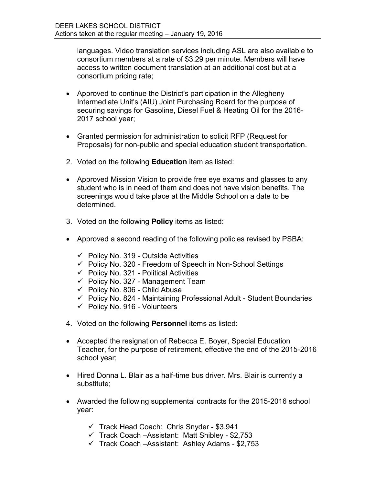languages. Video translation services including ASL are also available to consortium members at a rate of \$3.29 per minute. Members will have access to written document translation at an additional cost but at a consortium pricing rate;

- Approved to continue the District's participation in the Allegheny Intermediate Unit's (AIU) Joint Purchasing Board for the purpose of securing savings for Gasoline, Diesel Fuel & Heating Oil for the 2016- 2017 school year;
- Granted permission for administration to solicit RFP (Request for Proposals) for non-public and special education student transportation.
- 2. Voted on the following **Education** item as listed:
- Approved Mission Vision to provide free eye exams and glasses to any student who is in need of them and does not have vision benefits. The screenings would take place at the Middle School on a date to be determined.
- 3. Voted on the following **Policy** items as listed:
- Approved a second reading of the following policies revised by PSBA:
	- $\checkmark$  Policy No. 319 Outside Activities
	- $\checkmark$  Policy No. 320 Freedom of Speech in Non-School Settings
	- $\checkmark$  Policy No. 321 Political Activities
	- $\checkmark$  Policy No. 327 Management Team
	- $\checkmark$  Policy No. 806 Child Abuse
	- $\checkmark$  Policy No. 824 Maintaining Professional Adult Student Boundaries
	- $\checkmark$  Policy No. 916 Volunteers
- 4. Voted on the following **Personnel** items as listed:
- Accepted the resignation of Rebecca E. Boyer, Special Education Teacher, for the purpose of retirement, effective the end of the 2015-2016 school year;
- Hired Donna L. Blair as a half-time bus driver. Mrs. Blair is currently a substitute;
- Awarded the following supplemental contracts for the 2015-2016 school year:
	- $\checkmark$  Track Head Coach: Chris Snyder \$3,941
	- $\checkmark$  Track Coach –Assistant: Matt Shibley \$2,753
	- $\checkmark$  Track Coach –Assistant: Ashley Adams \$2,753